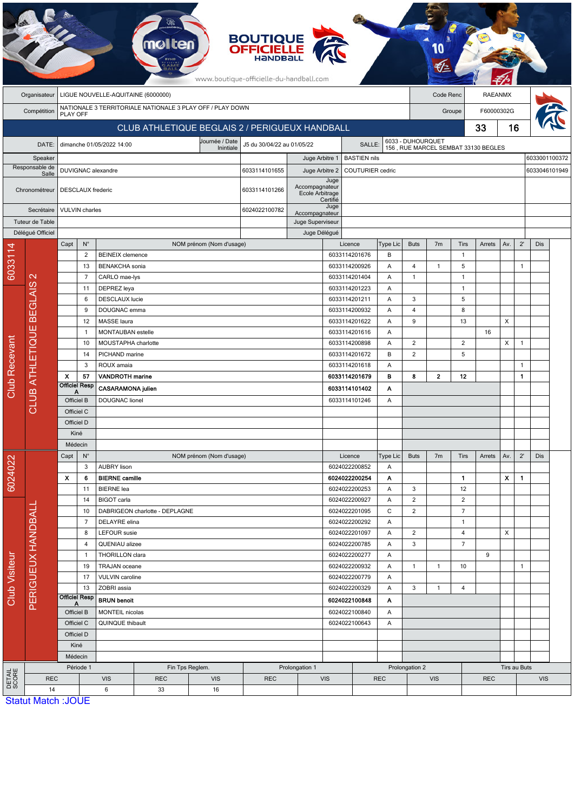|                      |                                                    |                                                           |                                    |                                        |                                |                                                | <b>BOUTIQUE<br/>OFFICIELLE</b><br>www.boutique-officielle-du-handball.com |                                   |                                                                    |                                     |                |                |                |                |              |                           |              |     |  |
|----------------------|----------------------------------------------------|-----------------------------------------------------------|------------------------------------|----------------------------------------|--------------------------------|------------------------------------------------|---------------------------------------------------------------------------|-----------------------------------|--------------------------------------------------------------------|-------------------------------------|----------------|----------------|----------------|----------------|--------------|---------------------------|--------------|-----|--|
|                      | LIGUE NOUVELLE-AQUITAINE (6000000)<br>Organisateur |                                                           |                                    |                                        |                                |                                                |                                                                           |                                   |                                                                    |                                     | Code Renc      |                | <b>RAEANMX</b> |                |              |                           |              |     |  |
|                      |                                                    | NATIONALE 3 TERRITORIALE NATIONALE 3 PLAY OFF / PLAY DOWN |                                    |                                        |                                |                                                |                                                                           |                                   |                                                                    |                                     |                |                |                |                |              |                           |              |     |  |
|                      | Compétition<br><b>PLAY OFF</b>                     |                                                           |                                    |                                        |                                |                                                |                                                                           |                                   |                                                                    |                                     |                | Groupe         |                |                | F60000302G   |                           |              |     |  |
|                      |                                                    |                                                           |                                    |                                        |                                | CLUB ATHLETIQUE BEGLAIS 2 / PERIGUEUX HANDBALL |                                                                           |                                   |                                                                    |                                     |                |                |                | 33             | 16           |                           |              |     |  |
|                      | DATE:                                              |                                                           |                                    | dimanche 01/05/2022 14:00              |                                | J5 du 30/04/22 au 01/05/22                     |                                                                           |                                   | 6033 - DUHOURQUET<br>156, RUE MARCEL SEMBAT 33130 BEGLES<br>SALLE: |                                     |                |                |                |                |              |                           |              |     |  |
| Speaker              |                                                    |                                                           |                                    |                                        |                                | Juge Arbitre 1                                 |                                                                           | <b>BASTIEN nils</b>               |                                                                    |                                     |                |                |                |                |              | 6033001100372             |              |     |  |
|                      | Responsable de<br>Salle                            |                                                           |                                    | DUVIGNAC alexandre                     | 6033114101655                  | Juge Arbitre 2                                 |                                                                           | <b>COUTURIER</b> cedric           |                                                                    |                                     |                |                |                |                |              | 6033046101949             |              |     |  |
|                      | Chronométreur                                      |                                                           | DESCLAUX frederic<br>6033114101266 |                                        |                                |                                                |                                                                           | Accompagnateur<br>Ecole Arbitrage | Juge<br>Certifié                                                   |                                     |                |                |                |                |              |                           |              |     |  |
| Secrétaire           |                                                    |                                                           | <b>VULVIN</b> charles              |                                        | 6024022100782                  |                                                | Juge                                                                      |                                   |                                                                    |                                     |                |                |                |                |              |                           |              |     |  |
|                      | Tuteur de Table                                    |                                                           |                                    |                                        |                                | Accompagnateur<br>Juge Superviseur             |                                                                           |                                   |                                                                    |                                     |                |                |                |                |              |                           |              |     |  |
|                      | Délégué Officiel                                   |                                                           |                                    |                                        |                                |                                                |                                                                           |                                   | Juge Délégué                                                       |                                     |                |                |                |                |              |                           |              |     |  |
|                      |                                                    | Capt                                                      | $N^{\circ}$                        |                                        |                                | NOM prénom (Nom d'usage)                       |                                                                           |                                   |                                                                    | Licence                             | Type Lic       | <b>Buts</b>    | 7 <sub>m</sub> | <b>Tirs</b>    | Arrets       | Av.                       | $2^{\prime}$ | Dis |  |
| 6033114              |                                                    |                                                           | 2                                  | <b>BEINEIX</b> clemence                |                                |                                                |                                                                           |                                   |                                                                    | 6033114201676                       | B              |                |                | $\mathbf{1}$   |              |                           |              |     |  |
|                      |                                                    |                                                           | 13                                 | <b>BENAKCHA</b> sonia                  |                                |                                                |                                                                           |                                   | 6033114200926                                                      |                                     | Α              | 4              | $\mathbf{1}$   | 5              |              |                           | $\mathbf{1}$ |     |  |
|                      | $\mathbf{\Omega}$                                  | $\overline{7}$<br>11<br>6<br>9                            |                                    | CARLO mae-lys                          |                                |                                                |                                                                           |                                   |                                                                    | 6033114201404                       | Α              |                |                | $\mathbf{1}$   |              |                           |              |     |  |
|                      |                                                    |                                                           |                                    | DEPREZ leya                            |                                |                                                |                                                                           |                                   |                                                                    | 6033114201223                       | Α              |                | $\mathbf{1}$   |                |              |                           |              |     |  |
|                      |                                                    |                                                           |                                    | <b>DESCLAUX</b> lucie                  |                                |                                                |                                                                           |                                   |                                                                    | 6033114201211                       | Α<br>Α         | 3<br>4         |                | 5<br>8         |              |                           |              |     |  |
|                      | <b>BEGLAIS</b><br><b>CLUB ATHLETIQUE</b>           | 12                                                        |                                    | MASSE laura                            | DOUGNAC emma                   |                                                |                                                                           |                                   |                                                                    | 6033114200932<br>6033114201622<br>Α |                |                |                | 13             |              | X                         |              |     |  |
|                      |                                                    | $\mathbf{1}$                                              |                                    |                                        | MONTAUBAN estelle              |                                                |                                                                           |                                   |                                                                    | 6033114201616<br>Α                  |                | 9              |                |                | 16           |                           |              |     |  |
|                      |                                                    |                                                           | 10                                 |                                        | MOUSTAPHA charlotte            |                                                |                                                                           |                                   |                                                                    | 6033114200898<br>A                  |                | 2              |                | $\overline{2}$ |              | X                         | $\mathbf{1}$ |     |  |
|                      |                                                    |                                                           | 14                                 |                                        | PICHAND marine                 |                                                |                                                                           |                                   |                                                                    | 6033114201672                       | 2              |                | 5              |                |              |                           |              |     |  |
| <b>Club Recevant</b> |                                                    |                                                           | 3                                  | ROUX amaia                             |                                |                                                |                                                                           |                                   |                                                                    | 6033114201618                       | Α              |                |                |                |              |                           | $\mathbf{1}$ |     |  |
|                      |                                                    | $\boldsymbol{\mathsf{x}}$                                 | 57                                 | <b>VANDROTH marine</b>                 |                                |                                                |                                                                           |                                   |                                                                    | 6033114201679                       | в              | 8              | $\overline{2}$ | 12             |              |                           | $\mathbf{1}$ |     |  |
|                      |                                                    | <b>Officiel Resp</b><br>Α                                 |                                    | <b>CASARAMONA julien</b>               |                                |                                                |                                                                           |                                   | 6033114101402                                                      | Α                                   |                |                |                |                |              |                           |              |     |  |
|                      |                                                    | Officiel B                                                |                                    | <b>DOUGNAC</b> lionel                  |                                |                                                |                                                                           | 6033114101246                     | Α                                                                  |                                     |                |                |                |                |              |                           |              |     |  |
|                      |                                                    | Officiel C                                                |                                    |                                        |                                |                                                |                                                                           |                                   |                                                                    |                                     |                |                |                |                |              |                           |              |     |  |
|                      |                                                    | Officiel D                                                |                                    |                                        |                                |                                                |                                                                           |                                   |                                                                    |                                     |                |                |                |                |              |                           |              |     |  |
|                      |                                                    | Kiné                                                      |                                    |                                        |                                |                                                |                                                                           |                                   |                                                                    |                                     |                |                |                |                |              |                           |              |     |  |
|                      |                                                    | Médecin                                                   |                                    |                                        |                                |                                                |                                                                           |                                   |                                                                    |                                     |                |                |                |                |              |                           |              |     |  |
| 6024022              |                                                    | Capt                                                      | $N^{\circ}$<br>3                   | <b>AUBRY lison</b>                     |                                | NOM prénom (Nom d'usage)                       |                                                                           |                                   |                                                                    | Licence<br>6024022200852            | Type Lic<br>Α  | <b>Buts</b>    | 7 <sub>m</sub> | <b>Tirs</b>    | Arrets       | Av.                       | $2^{\prime}$ | Dis |  |
|                      |                                                    | X                                                         | 6                                  | <b>BIERNE</b> camille                  |                                |                                                |                                                                           |                                   |                                                                    | 6024022200254                       | Α              |                |                | $\mathbf{1}$   |              | $\boldsymbol{\mathsf{x}}$ | $\mathbf{1}$ |     |  |
|                      |                                                    |                                                           | 11                                 | <b>BIERNE</b> lea                      |                                |                                                |                                                                           |                                   |                                                                    | 6024022200253                       | Α              | 3              |                | 12             |              |                           |              |     |  |
| Club Visiteur        |                                                    |                                                           | 14                                 | <b>BIGOT</b> carla                     |                                |                                                |                                                                           |                                   |                                                                    | 6024022200927                       | Α              | $\overline{c}$ |                | $\overline{2}$ |              |                           |              |     |  |
|                      | PERIGUEUX HANDBALL                                 |                                                           | 10                                 |                                        | DABRIGEON charlotte - DEPLAGNE |                                                |                                                                           |                                   |                                                                    | 6024022201095                       | C              | $\overline{c}$ |                | $\overline{7}$ |              |                           |              |     |  |
|                      |                                                    |                                                           | $\overline{7}$                     | DELAYRE elina                          |                                |                                                |                                                                           |                                   |                                                                    | 6024022200292                       | Α              |                |                | $\mathbf{1}$   |              |                           |              |     |  |
|                      |                                                    | 8                                                         |                                    | <b>LEFOUR</b> susie                    |                                |                                                |                                                                           |                                   |                                                                    | 6024022201097                       | Α              | $\overline{2}$ |                | 4              |              | X                         |              |     |  |
|                      |                                                    |                                                           | QUENIAU alizee<br>4                |                                        |                                | 6024022200785                                  |                                                                           | Α                                 | 3                                                                  |                                     | $\overline{7}$ |                |                |                |              |                           |              |     |  |
|                      |                                                    |                                                           | $\mathbf{1}$                       | THORILLON clara<br>19<br>TRAJAN oceane |                                |                                                | 6024022200277<br>6024022200932                                            |                                   | A                                                                  | $\mathbf{1}$                        | $\mathbf{1}$   | 10             | 9              |                | $\mathbf{1}$ |                           |              |     |  |
|                      |                                                    |                                                           | 17                                 | <b>VULVIN</b> caroline                 |                                |                                                |                                                                           |                                   |                                                                    | 6024022200779                       | Α<br>A         |                |                |                |              |                           |              |     |  |
|                      |                                                    |                                                           | 13                                 | ZOBRI assia                            |                                |                                                |                                                                           |                                   |                                                                    | 6024022200329<br>Α                  |                | 3              | $\mathbf{1}$   | $\overline{4}$ |              |                           |              |     |  |
|                      |                                                    |                                                           | <b>Officiel Resp</b>               | <b>BRUN</b> benoit                     |                                |                                                |                                                                           | 6024022100848                     |                                                                    | A                                   |                |                |                |                |              |                           |              |     |  |
|                      |                                                    | Officiel B                                                |                                    | MONTEIL nicolas                        |                                |                                                | 6024022100840<br>Α                                                        |                                   |                                                                    |                                     |                |                |                |                |              |                           |              |     |  |
|                      |                                                    | Officiel C                                                |                                    | QUINQUE thibault                       |                                |                                                |                                                                           |                                   | 6024022100643<br>A                                                 |                                     |                |                |                |                |              |                           |              |     |  |
|                      |                                                    |                                                           | Officiel D                         |                                        |                                |                                                |                                                                           |                                   |                                                                    |                                     |                |                |                |                |              |                           |              |     |  |
|                      |                                                    |                                                           | Kiné                               |                                        |                                |                                                |                                                                           |                                   |                                                                    |                                     |                |                |                |                |              |                           |              |     |  |
|                      |                                                    | Médecin                                                   |                                    |                                        |                                |                                                |                                                                           |                                   |                                                                    |                                     |                |                |                |                |              |                           |              |     |  |
|                      |                                                    | Période 1                                                 |                                    | Fin Tps Reglem.                        |                                |                                                | Prolongation 1                                                            |                                   |                                                                    |                                     |                | Prolongation 2 |                |                |              | Tirs au Buts              |              |     |  |
| DETAIL<br>SCORE      | <b>REC</b><br>14                                   |                                                           |                                    | <b>VIS</b><br>$\boldsymbol{6}$         | <b>REC</b><br>33               | <b>VIS</b><br>16                               | <b>REC</b>                                                                |                                   | <b>VIS</b><br><b>REC</b>                                           |                                     |                | <b>VIS</b>     |                | <b>REC</b>     |              |                           | <b>VIS</b>   |     |  |
|                      | <b>Statut Match: JOUE</b>                          |                                                           |                                    |                                        |                                |                                                |                                                                           |                                   |                                                                    |                                     |                |                |                |                |              |                           |              |     |  |